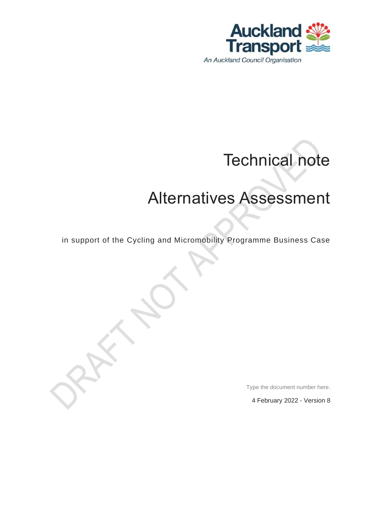

# Technical note

## Alternatives Assessment

in support of the Cycling and Micromobility Programme Business Case

Type the document number here.

4 February 2022 - Version 8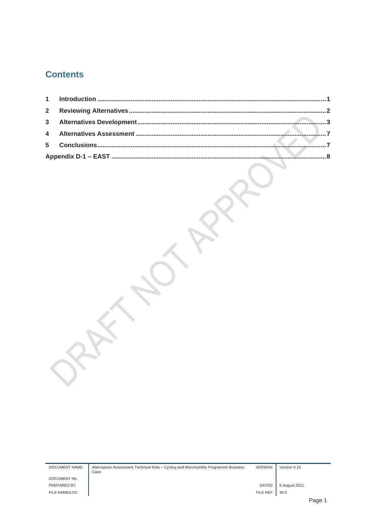### **Contents**

| 1              |              |
|----------------|--------------|
| $\overline{2}$ |              |
| 3              | $\mathbf{3}$ |
| 4              |              |
| 5              |              |
|                |              |
|                |              |

| <b>DOCUMENT NAME</b> | Alternatives Assessment Technical Note - Cycling and Micromobility Programme Business<br>Case | <b>VERSION</b>  | Version 0.18  |      |
|----------------------|-----------------------------------------------------------------------------------------------|-----------------|---------------|------|
| DOCUMENT No.         |                                                                                               |                 |               |      |
| PREPARED BY          |                                                                                               | <b>DATED</b>    | 5 August 2021 |      |
| FILE NAME/LOC        |                                                                                               | <b>FILE REF</b> | 30.0          |      |
|                      |                                                                                               |                 |               | Page |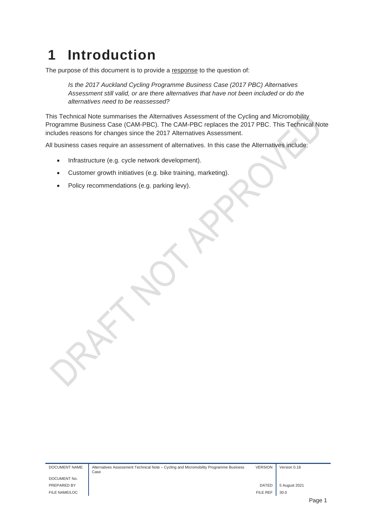### <span id="page-2-0"></span>**1 Introduction**

The purpose of this document is to provide a response to the question of:

*Is the 2017 Auckland Cycling Programme Business Case (2017 PBC) Alternatives Assessment still valid, or are there alternatives that have not been included or do the alternatives need to be reassessed?* 

This Technical Note summarises the Alternatives Assessment of the Cycling and Micromobility Programme Business Case (CAM-PBC). The CAM-PBC replaces the 2017 PBC. This Technical Note includes reasons for changes since the 2017 Alternatives Assessment.

All business cases require an assessment of alternatives. In this case the Alternatives include:

- Infrastructure (e.g. cycle network development).
- Customer growth initiatives (e.g. bike training, marketing).
- Policy recommendations (e.g. parking levy).

DOCUMENT NAME Alternatives Assessment Technical Note – Cycling and Micromobility Programme Business Case VERSION Version 0.18 DOCUMENT No. PREPARED BY POLICIAL COMPUTER SAUGHT AND THE SAUGHT AND SAUGHT AND SAUGHT AND SAUGHT AND SAUGHT AND SAUGHT AND SAUGHT AND SAUGHT AND SAUGHT AND SAUGHT AND SAUGHT AND SAUGHT AND SAUGHT AND SAUGHT AND SAUGHT AND SAUGHT AND S FILE NAME/LOC FILE REF  $\parallel$  30.0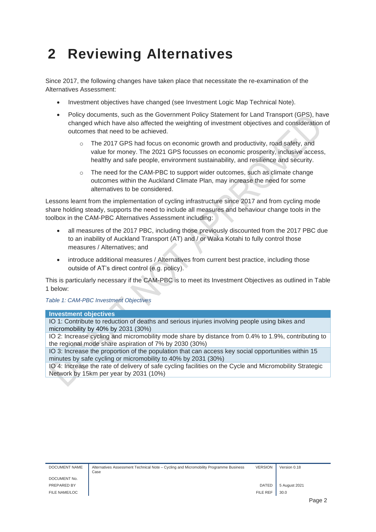### <span id="page-3-0"></span>**2 Reviewing Alternatives**

Since 2017, the following changes have taken place that necessitate the re-examination of the Alternatives Assessment:

- Investment objectives have changed (see Investment Logic Map Technical Note).
- Policy documents, such as the Government Policy Statement for Land Transport (GPS), have changed which have also affected the weighting of investment objectives and consideration of outcomes that need to be achieved.
	- o The 2017 GPS had focus on economic growth and productivity, road safety, and value for money. The 2021 GPS focusses on economic prosperity, inclusive access, healthy and safe people, environment sustainability, and resilience and security.
	- $\circ$  The need for the CAM-PBC to support wider outcomes, such as climate change outcomes within the Auckland Climate Plan, may increase the need for some alternatives to be considered.

Lessons learnt from the implementation of cycling infrastructure since 2017 and from cycling mode share holding steady, supports the need to include all measures and behaviour change tools in the toolbox in the CAM-PBC Alternatives Assessment including:

- all measures of the 2017 PBC, including those previously discounted from the 2017 PBC due to an inability of Auckland Transport (AT) and / or Waka Kotahi to fully control those measures / Alternatives; and
- introduce additional measures / Alternatives from current best practice, including those outside of AT's direct control (e.g. policy).

This is particularly necessary if the CAM-PBC is to meet its Investment Objectives as outlined in Table 1 below:

*Table 1: CAM-PBC Investment Objectives*

#### **Investment objectives**

IO 1: Contribute to reduction of deaths and serious injuries involving people using bikes and micromobility by 40% by 2031 (30%)

IO 2: Increase cycling and micromobility mode share by distance from 0.4% to 1.9%, contributing to the regional mode share aspiration of 7% by 2030 (30%)

IO 3: Increase the proportion of the population that can access key social opportunities within 15 minutes by safe cycling or micromobility to 40% by 2031 (30%)

IO 4: Increase the rate of delivery of safe cycling facilities on the Cycle and Micromobility Strategic Network by 15km per year by 2031 (10%)

| DOCUMENT NAME | Alternatives Assessment Technical Note – Cycling and Micromobility Programme Business<br>Case | <b>VERSION</b> | Version 0.18  |             |
|---------------|-----------------------------------------------------------------------------------------------|----------------|---------------|-------------|
| DOCUMENT No.  |                                                                                               |                |               |             |
| PREPARED BY   |                                                                                               | <b>DATED</b>   | 5 August 2021 |             |
| FILE NAME/LOC |                                                                                               | FILE REF       | 30.0          |             |
|               |                                                                                               |                |               | <b>Dec.</b> |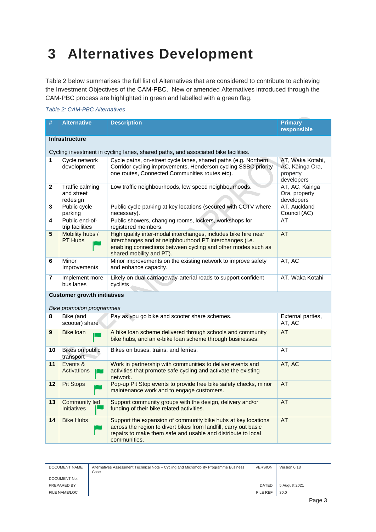### <span id="page-4-0"></span>**3 Alternatives Development**

[Table 2](#page-4-1) below summarises the full list of Alternatives that are considered to contribute to achieving the Investment Objectives of the CAM-PBC. New or amended Alternatives introduced through the CAM-PBC process are highlighted in green and labelled with a green flag.

#### <span id="page-4-1"></span>*Table 2: CAM-PBC Alternatives*

| #  | <b>Alternative</b>                                                     | <b>Description</b>                                                                                                                                                                                                    | <b>Primary</b>                                                |  |  |  |
|----|------------------------------------------------------------------------|-----------------------------------------------------------------------------------------------------------------------------------------------------------------------------------------------------------------------|---------------------------------------------------------------|--|--|--|
|    |                                                                        |                                                                                                                                                                                                                       | responsible                                                   |  |  |  |
|    | <b>Infrastructure</b>                                                  |                                                                                                                                                                                                                       |                                                               |  |  |  |
|    |                                                                        | Cycling investment in cycling lanes, shared paths, and associated bike facilities.                                                                                                                                    |                                                               |  |  |  |
| 1  | Cycle network<br>development                                           | Cycle paths, on-street cycle lanes, shared paths (e.g. Northern<br>Corridor cycling improvements, Henderson cycling SSBC priority<br>one routes, Connected Communities routes etc).                                   | AT, Waka Kotahi,<br>AC, Kāinga Ora,<br>property<br>developers |  |  |  |
| 2  | Traffic calming<br>and street<br>redesign                              | Low traffic neighbourhoods, low speed neighbourhoods.                                                                                                                                                                 | AT, AC, Kāinga<br>Ora, property<br>developers                 |  |  |  |
| 3  | Public cycle<br>parking                                                | Public cycle parking at key locations (secured with CCTV where<br>necessary).                                                                                                                                         | AT, Auckland<br>Council (AC)                                  |  |  |  |
| 4  | Public end-of-<br>trip facilities                                      | Public showers, changing rooms, lockers, workshops for<br>registered members.                                                                                                                                         | AT                                                            |  |  |  |
| 5  | Mobility hubs /<br>PT Hubs                                             | High quality inter-modal interchanges, includes bike hire near<br>interchanges and at neighbourhood PT interchanges (i.e.<br>enabling connections between cycling and other modes such as<br>shared mobility and PT). | AT                                                            |  |  |  |
| 6  | Minor<br>Improvements                                                  | Minor improvements on the existing network to improve safety<br>and enhance capacity.                                                                                                                                 | AT, AC                                                        |  |  |  |
| 7  | Implement more<br>bus lanes                                            | Likely on dual carriageway-arterial roads to support confident<br>cyclists                                                                                                                                            | AT, Waka Kotahi                                               |  |  |  |
|    | <b>Customer growth initiatives</b><br><b>Bike promotion programmes</b> |                                                                                                                                                                                                                       |                                                               |  |  |  |
| 8  | Bike (and<br>scooter) share                                            | Pay as you go bike and scooter share schemes.                                                                                                                                                                         | External parties,<br>AT, AC                                   |  |  |  |
| 9  | Bike loan                                                              | A bike loan scheme delivered through schools and community<br>bike hubs, and an e-bike loan scheme through businesses.                                                                                                | <b>AT</b>                                                     |  |  |  |
| 10 | Bikes on public<br>transport                                           | Bikes on buses, trains, and ferries.                                                                                                                                                                                  | AT                                                            |  |  |  |
| 11 | Events &<br>Activations                                                | Work in partnership with communities to deliver events and<br>activities that promote safe cycling and activate the existing<br>network.                                                                              | AT, AC                                                        |  |  |  |
| 12 | <b>Pit Stops</b>                                                       | Pop-up Pit Stop events to provide free bike safety checks, minor<br>maintenance work and to engage customers.                                                                                                         | AT                                                            |  |  |  |
| 13 | Community led<br><b>Initiatives</b>                                    | Support community groups with the design, delivery and/or<br>funding of their bike related activities.                                                                                                                | AT                                                            |  |  |  |
| 14 | <b>Bike Hubs</b>                                                       | Support the expansion of community bike hubs at key locations<br>across the region to divert bikes from landfill, carry out basic<br>repairs to make them safe and usable and distribute to local<br>communities.     | AT                                                            |  |  |  |

| DOCUMENT NAME | Alternatives Assessment Technical Note – Cycling and Micromobility Programme Business<br>Case | <b>VERSION</b> | Version 0.18  |
|---------------|-----------------------------------------------------------------------------------------------|----------------|---------------|
| DOCUMENT No.  |                                                                                               |                |               |
| PREPARED BY   |                                                                                               | <b>DATED</b>   | 5 August 2021 |
| FILE NAME/LOC |                                                                                               | FILE REF       | 30.0          |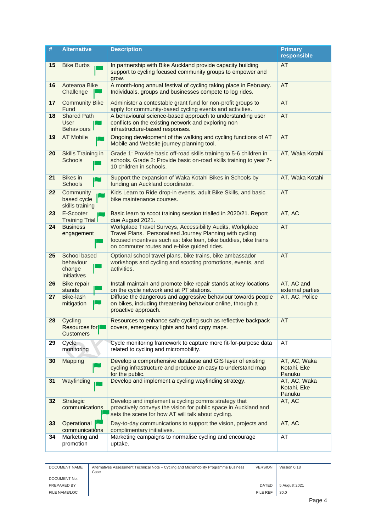| #  | <b>Alternative</b>                                 | <b>Description</b>                                                                                                                                                                                                                       | <b>Primary</b><br>responsible         |
|----|----------------------------------------------------|------------------------------------------------------------------------------------------------------------------------------------------------------------------------------------------------------------------------------------------|---------------------------------------|
| 15 | <b>Bike Burbs</b>                                  | In partnership with Bike Auckland provide capacity building<br>support to cycling focused community groups to empower and<br>grow.                                                                                                       | AT                                    |
| 16 | Aotearoa Bike<br>Challenge                         | A month-long annual festival of cycling taking place in February.<br>Individuals, groups and businesses compete to log rides.                                                                                                            | <b>AT</b>                             |
| 17 | <b>Community Bike</b><br>Fund                      | Administer a contestable grant fund for non-profit groups to<br>apply for community-based cycling events and activities.                                                                                                                 | <b>AT</b>                             |
| 18 | <b>Shared Path</b><br><b>User</b><br>Behaviours    | A behavioural science-based approach to understanding user<br>conflicts on the existing network and exploring non<br>infrastructure-based responses.                                                                                     | AT                                    |
| 19 | <b>AT Mobile</b>                                   | Ongoing development of the walking and cycling functions of AT<br>Mobile and Website journey planning tool.                                                                                                                              | <b>AT</b>                             |
| 20 | Skills Training in<br><b>Schools</b>               | Grade 1: Provide basic off-road skills training to 5-6 children in<br>schools. Grade 2: Provide basic on-road skills training to year 7-<br>10 children in schools.                                                                      | AT, Waka Kotahi                       |
| 21 | <b>Bikes</b> in<br><b>Schools</b>                  | Support the expansion of Waka Kotahi Bikes in Schools by<br>funding an Auckland coordinator.                                                                                                                                             | AT, Waka Kotahi                       |
| 22 | Community<br>based cycle<br>skills training        | Kids Learn to Ride drop-in events, adult Bike Skills, and basic<br>bike maintenance courses.                                                                                                                                             | <b>AT</b>                             |
| 23 | E-Scooter<br><b>Training Trial</b>                 | Basic learn to scoot training session trialled in 2020/21. Report<br>due August 2021.                                                                                                                                                    | AT, AC                                |
| 24 | <b>Business</b><br>engagement                      | Workplace Travel Surveys, Accessibility Audits, Workplace<br>Travel Plans. Personalised Journey Planning with cycling<br>focused incentives such as: bike loan, bike buddies, bike trains<br>on commuter routes and e-bike guided rides. | <b>AT</b>                             |
| 25 | School based<br>behaviour<br>change<br>Initiatives | Optional school travel plans, bike trains, bike ambassador<br>workshops and cycling and scooting promotions, events, and<br>activities.                                                                                                  | <b>AT</b>                             |
| 26 | <b>Bike repair</b><br>stands                       | Install maintain and promote bike repair stands at key locations<br>on the cycle network and at PT stations.                                                                                                                             | AT, AC and<br>external parties        |
| 27 | Bike-lash<br>mitigation                            | Diffuse the dangerous and aggressive behaviour towards people<br>on bikes, including threatening behaviour online, through a<br>proactive approach.                                                                                      | AT, AC, Police                        |
| 28 | Cycling<br>Resources for<br><b>Customers</b>       | Resources to enhance safe cycling such as reflective backpack<br>covers, emergency lights and hard copy maps.                                                                                                                            | <b>AT</b>                             |
| 29 | Cycle<br>monitoring                                | Cycle monitoring framework to capture more fit-for-purpose data<br>related to cycling and micromobility.                                                                                                                                 | AT                                    |
| 30 | Mapping                                            | Develop a comprehensive database and GIS layer of existing<br>cycling infrastructure and produce an easy to understand map<br>for the public.                                                                                            | AT, AC, Waka<br>Kotahi, Eke<br>Panuku |
| 31 | Wayfinding                                         | Develop and implement a cycling wayfinding strategy.                                                                                                                                                                                     | AT, AC, Waka<br>Kotahi, Eke<br>Panuku |
| 32 | Strategic<br>communications                        | Develop and implement a cycling comms strategy that<br>proactively conveys the vision for public space in Auckland and<br>sets the scene for how AT will talk about cycling.                                                             | AT, AC                                |
| 33 | Operational<br>communications                      | Day-to-day communications to support the vision, projects and<br>complimentary initiatives.                                                                                                                                              | AT, AC                                |
| 34 | Marketing and<br>promotion                         | Marketing campaigns to normalise cycling and encourage<br>uptake.                                                                                                                                                                        | AT                                    |

| DOCUMENT NAME  |
|----------------|
| DOCUMENT No.   |
| PREPARED BY    |
| FILE NAME/LOC. |

| DOCUMENT NAME | Alternatives Assessment Technical Note – Cycling and Micromobility Programme Business<br>Case | <b>VERSION</b>  | Version 0.18  |  |
|---------------|-----------------------------------------------------------------------------------------------|-----------------|---------------|--|
| DOCUMENT No.  |                                                                                               |                 |               |  |
| PREPARED BY   |                                                                                               | <b>DATED</b>    | 5 August 2021 |  |
| FILE NAME/LOC |                                                                                               | <b>FILE REF</b> | 30.0          |  |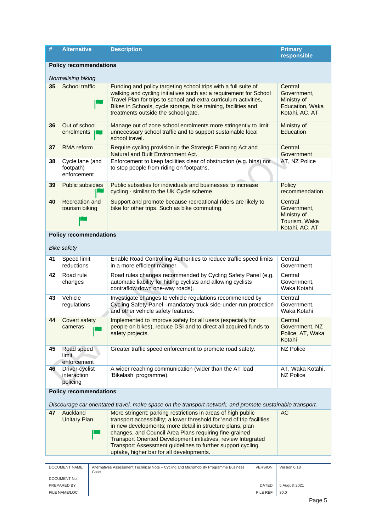| #  | <b>Alternative</b>                          | <b>Description</b>                                                                                                                                                                                                                                                                                                                                                        | <b>Primary</b><br>responsible                                              |
|----|---------------------------------------------|---------------------------------------------------------------------------------------------------------------------------------------------------------------------------------------------------------------------------------------------------------------------------------------------------------------------------------------------------------------------------|----------------------------------------------------------------------------|
|    | <b>Policy recommendations</b>               |                                                                                                                                                                                                                                                                                                                                                                           |                                                                            |
|    | Normalising biking                          |                                                                                                                                                                                                                                                                                                                                                                           |                                                                            |
| 35 | School traffic                              | Funding and policy targeting school trips with a full suite of<br>walking and cycling initiatives such as: a requirement for School<br>Travel Plan for trips to school and extra curriculum activities,<br>Bikes in Schools, cycle storage, bike training, facilities and<br>treatments outside the school gate.                                                          | Central<br>Government,<br>Ministry of<br>Education, Waka<br>Kotahi, AC, AT |
| 36 | Out of school<br>enrolments                 | Manage out of zone school enrolments more stringently to limit<br>unnecessary school traffic and to support sustainable local<br>school travel.                                                                                                                                                                                                                           | Ministry of<br>Education                                                   |
| 37 | RMA reform                                  | Require cycling provision in the Strategic Planning Act and<br>Natural and Built Environment Act.                                                                                                                                                                                                                                                                         | Central<br>Government                                                      |
| 38 | Cycle lane (and<br>footpath)<br>enforcement | Enforcement to keep facilities clear of obstruction (e.g. bins) not<br>to stop people from riding on footpaths.                                                                                                                                                                                                                                                           | AT, NZ Police                                                              |
| 39 | Public subsidies                            | Public subsidies for individuals and businesses to increase<br>cycling - similar to the UK Cycle scheme.                                                                                                                                                                                                                                                                  | Policy<br>recommendation                                                   |
| 40 | <b>Recreation and</b><br>tourism biking     | Support and promote because recreational riders are likely to<br>bike for other trips. Such as bike commuting.                                                                                                                                                                                                                                                            | Central<br>Government,<br>Ministry of<br>Tourism, Waka<br>Kotahi, AC, AT   |
|    | <b>Policy recommendations</b>               |                                                                                                                                                                                                                                                                                                                                                                           |                                                                            |
|    | <b>Bike safety</b>                          |                                                                                                                                                                                                                                                                                                                                                                           |                                                                            |
| 41 | Speed limit<br>reductions                   | Enable Road Controlling Authorities to reduce traffic speed limits<br>in a more efficient manner.                                                                                                                                                                                                                                                                         | Central<br>Government                                                      |
| 42 | Road rule<br>changes                        | Road rules changes recommended by Cycling Safety Panel (e.g.<br>automatic liability for hitting cyclists and allowing cyclists<br>contraflow down one-way roads).                                                                                                                                                                                                         | Central<br>Government,<br>Waka Kotahi                                      |
| 43 | Vehicle<br>regulations                      | Investigate changes to vehicle regulations recommended by<br>Cycling Safety Panel -mandatory truck side-under-run protection<br>and other vehicle safety features.                                                                                                                                                                                                        | Central<br>Government.<br>Waka Kotahi                                      |
| 44 | Covert safety<br>cameras                    | Implemented to improve safety for all users (especially for<br>people on bikes), reduce DSI and to direct all acquired funds to<br>safety projects.                                                                                                                                                                                                                       | Central<br>Government, NZ<br>Police, AT, Waka<br>Kotahi                    |
| 45 | Road speed<br>limit<br>enforcement          | Greater traffic speed enforcement to promote road safety.                                                                                                                                                                                                                                                                                                                 | <b>NZ Police</b>                                                           |
| 46 | Driver-cyclist<br>interaction<br>policing   | A wider reaching communication (wider than the AT lead<br>'Bikelash' programme).                                                                                                                                                                                                                                                                                          | AT, Waka Kotahi,<br><b>NZ Police</b>                                       |
|    | <b>Policy recommendations</b>               |                                                                                                                                                                                                                                                                                                                                                                           |                                                                            |
| 47 | Auckland                                    | Discourage car orientated travel, make space on the transport network, and promote sustainable transport.<br>More stringent: parking restrictions in areas of high public                                                                                                                                                                                                 | AC                                                                         |
|    | <b>Unitary Plan</b>                         | transport accessibility; a lower threshold for 'end of trip facilities'<br>in new developments; more detail in structure plans, plan<br>changes, and Council Area Plans requiring fine-grained<br>Transport Oriented Development initiatives; review Integrated<br>Transport Assessment guidelines to further support cycling<br>uptake, higher bar for all developments. |                                                                            |
|    | DOCUMENT NAME                               | Alternatives Assessment Technical Note - Cycling and Micromobility Programme Business<br><b>VERSION</b>                                                                                                                                                                                                                                                                   | Version 0.18                                                               |
|    | Case                                        |                                                                                                                                                                                                                                                                                                                                                                           |                                                                            |

DOCUMENT No.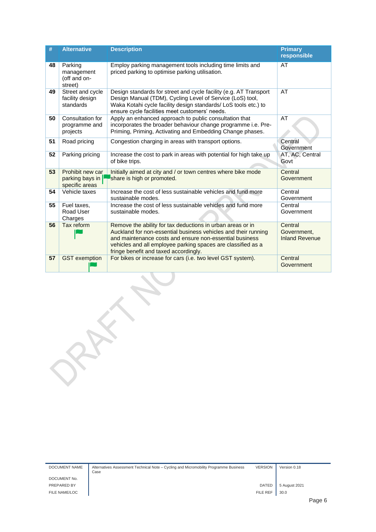| #  | <b>Alternative</b>                                    | <b>Description</b>                                                                                                                                                                                                                                                                               | <b>Primary</b><br>responsible                   |
|----|-------------------------------------------------------|--------------------------------------------------------------------------------------------------------------------------------------------------------------------------------------------------------------------------------------------------------------------------------------------------|-------------------------------------------------|
| 48 | Parking<br>management<br>(off and on-<br>street)      | Employ parking management tools including time limits and<br>priced parking to optimise parking utilisation.                                                                                                                                                                                     | AT                                              |
| 49 | Street and cycle<br>facility design<br>standards      | Design standards for street and cycle facility (e.g. AT Transport<br>Design Manual (TDM), Cycling Level of Service (LoS) tool,<br>Waka Kotahi cycle facility design standards/LoS tools etc.) to<br>ensure cycle facilities meet customers' needs.                                               | AT                                              |
| 50 | Consultation for<br>programme and<br>projects         | Apply an enhanced approach to public consultation that<br>incorporates the broader behaviour change programme i.e. Pre-<br>Priming, Priming, Activating and Embedding Change phases.                                                                                                             | AT                                              |
| 51 | Road pricing                                          | Congestion charging in areas with transport options.                                                                                                                                                                                                                                             | Central<br>Government                           |
| 52 | Parking pricing                                       | Increase the cost to park in areas with potential for high take up<br>of bike trips.                                                                                                                                                                                                             | AT, AC, Central<br>Govt                         |
| 53 | Prohibit new car<br>parking bays in<br>specific areas | Initially aimed at city and / or town centres where bike mode<br>share is high or promoted.                                                                                                                                                                                                      | Central<br>Government                           |
| 54 | Vehicle taxes                                         | Increase the cost of less sustainable vehicles and fund more<br>sustainable modes.                                                                                                                                                                                                               | Central<br>Government                           |
| 55 | Fuel taxes,<br>Road User<br>Charges                   | Increase the cost of less sustainable vehicles and fund more<br>sustainable modes.                                                                                                                                                                                                               | Central<br>Government                           |
| 56 | Tax reform                                            | Remove the ability for tax deductions in urban areas or in<br>Auckland for non-essential business vehicles and their running<br>and maintenance costs and ensure non-essential business<br>vehicles and all employee parking spaces are classified as a<br>fringe benefit and taxed accordingly. | Central<br>Government.<br><b>Inland Revenue</b> |
| 57 | <b>GST</b> exemption                                  | For bikes or increase for cars (i.e. two level GST system).                                                                                                                                                                                                                                      | Central<br>Government                           |

DOCUMENT NAME Alternatives Assessment Technical Note – Cycling and Micromobility Programme Business<br>Case Case VERSION Version 0.18 DOCUMENT No. PREPARED BY **DATED** 5 August 2021 FILE NAME/LOC **FILE REF** 30.0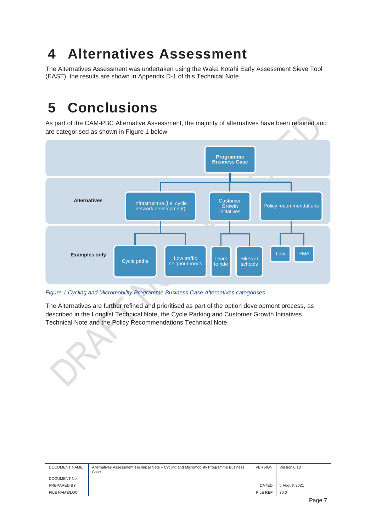### <span id="page-8-0"></span>**4 Alternatives Assessment**

The Alternatives Assessment was undertaken using the Waka Kotahi Early Assessment Sieve Tool (EAST), the results are shown in Appendix D-1 of this Technical Note.

### <span id="page-8-1"></span>**5 Conclusions**

As part of the CAM-PBC Alternative Assessment, the majority of alternatives have been retained and are categorised as shown in [Figure 1](#page-8-2) below.



<span id="page-8-2"></span>*Figure 1 Cycling and Micromobility Programme Business Case Alternatives categorises* 

The Alternatives are further refined and prioritised as part of the option development process, as described in the Longlist Technical Note, the Cycle Parking and Customer Growth Initiatives Technical Note and the Policy Recommendations Technical Note.

| DOCUMENT NAME | Alternatives Assessment Technical Note - Cycling and Micromobility Programme Business<br>Case | <b>VERSION</b>  | Version 0.18  |      |
|---------------|-----------------------------------------------------------------------------------------------|-----------------|---------------|------|
| DOCUMENT No.  |                                                                                               |                 |               |      |
| PREPARED BY   |                                                                                               | <b>DATED</b>    | 5 August 2021 |      |
| FILE NAME/LOC |                                                                                               | <b>FILE REF</b> | 30.0          |      |
|               |                                                                                               |                 |               | Page |